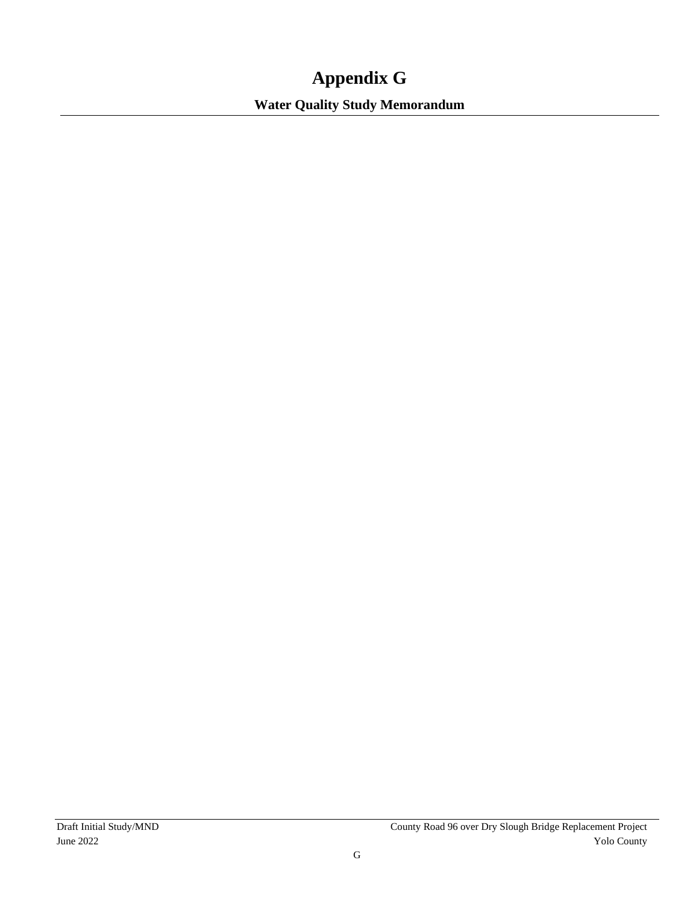# **Appendix G**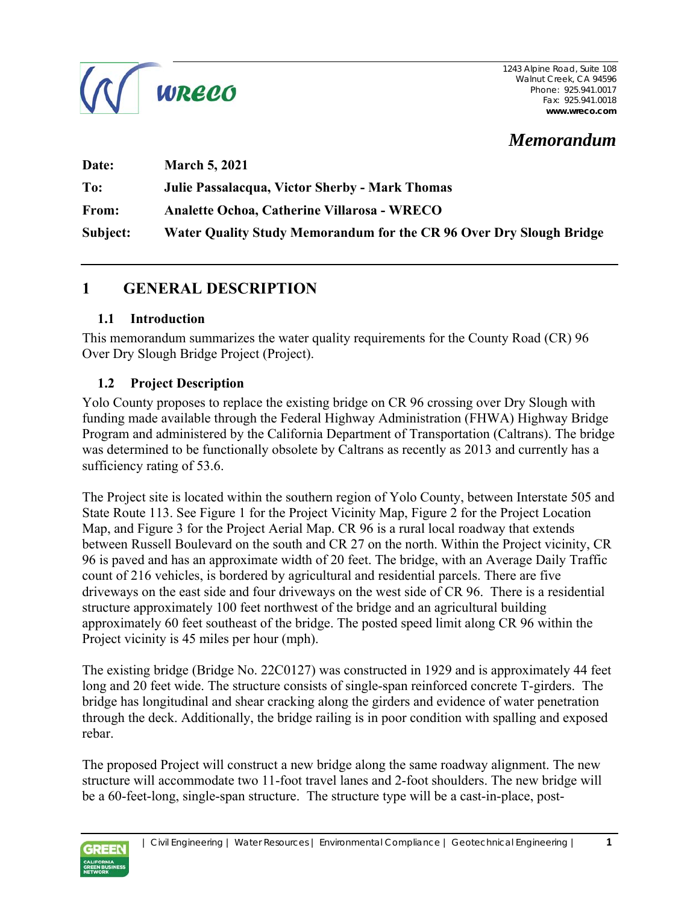

# *Memorandum*

| Date:        | <b>March 5, 2021</b>                                                |
|--------------|---------------------------------------------------------------------|
| To:          | <b>Julie Passalacqua, Victor Sherby - Mark Thomas</b>               |
| <b>From:</b> | Analette Ochoa, Catherine Villarosa - WRECO                         |
| Subject:     | Water Quality Study Memorandum for the CR 96 Over Dry Slough Bridge |

## **1 GENERAL DESCRIPTION**

#### **1.1 Introduction**

This memorandum summarizes the water quality requirements for the County Road (CR) 96 Over Dry Slough Bridge Project (Project).

#### **1.2 Project Description**

Yolo County proposes to replace the existing bridge on CR 96 crossing over Dry Slough with funding made available through the Federal Highway Administration (FHWA) Highway Bridge Program and administered by the California Department of Transportation (Caltrans). The bridge was determined to be functionally obsolete by Caltrans as recently as 2013 and currently has a sufficiency rating of 53.6.

The Project site is located within the southern region of Yolo County, between Interstate 505 and State Route 113. See Figure 1 for the Project Vicinity Map, Figure 2 for the Project Location Map, and Figure 3 for the Project Aerial Map. CR 96 is a rural local roadway that extends between Russell Boulevard on the south and CR 27 on the north. Within the Project vicinity, CR 96 is paved and has an approximate width of 20 feet. The bridge, with an Average Daily Traffic count of 216 vehicles, is bordered by agricultural and residential parcels. There are five driveways on the east side and four driveways on the west side of CR 96. There is a residential structure approximately 100 feet northwest of the bridge and an agricultural building approximately 60 feet southeast of the bridge. The posted speed limit along CR 96 within the Project vicinity is 45 miles per hour (mph).

The existing bridge (Bridge No. 22C0127) was constructed in 1929 and is approximately 44 feet long and 20 feet wide. The structure consists of single-span reinforced concrete T-girders. The bridge has longitudinal and shear cracking along the girders and evidence of water penetration through the deck. Additionally, the bridge railing is in poor condition with spalling and exposed rebar.

The proposed Project will construct a new bridge along the same roadway alignment. The new structure will accommodate two 11-foot travel lanes and 2-foot shoulders. The new bridge will be a 60-feet-long, single-span structure. The structure type will be a cast-in-place, post-

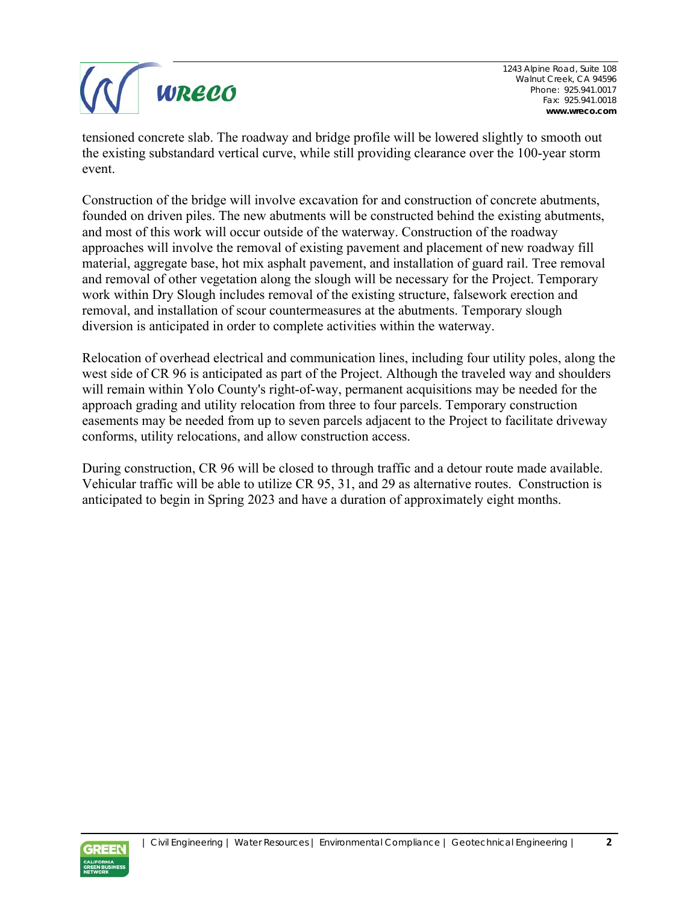

tensioned concrete slab. The roadway and bridge profile will be lowered slightly to smooth out the existing substandard vertical curve, while still providing clearance over the 100-year storm event.

Construction of the bridge will involve excavation for and construction of concrete abutments, founded on driven piles. The new abutments will be constructed behind the existing abutments, and most of this work will occur outside of the waterway. Construction of the roadway approaches will involve the removal of existing pavement and placement of new roadway fill material, aggregate base, hot mix asphalt pavement, and installation of guard rail. Tree removal and removal of other vegetation along the slough will be necessary for the Project. Temporary work within Dry Slough includes removal of the existing structure, falsework erection and removal, and installation of scour countermeasures at the abutments. Temporary slough diversion is anticipated in order to complete activities within the waterway.

Relocation of overhead electrical and communication lines, including four utility poles, along the west side of CR 96 is anticipated as part of the Project. Although the traveled way and shoulders will remain within Yolo County's right-of-way, permanent acquisitions may be needed for the approach grading and utility relocation from three to four parcels. Temporary construction easements may be needed from up to seven parcels adjacent to the Project to facilitate driveway conforms, utility relocations, and allow construction access.

During construction, CR 96 will be closed to through traffic and a detour route made available. Vehicular traffic will be able to utilize CR 95, 31, and 29 as alternative routes. Construction is anticipated to begin in Spring 2023 and have a duration of approximately eight months.

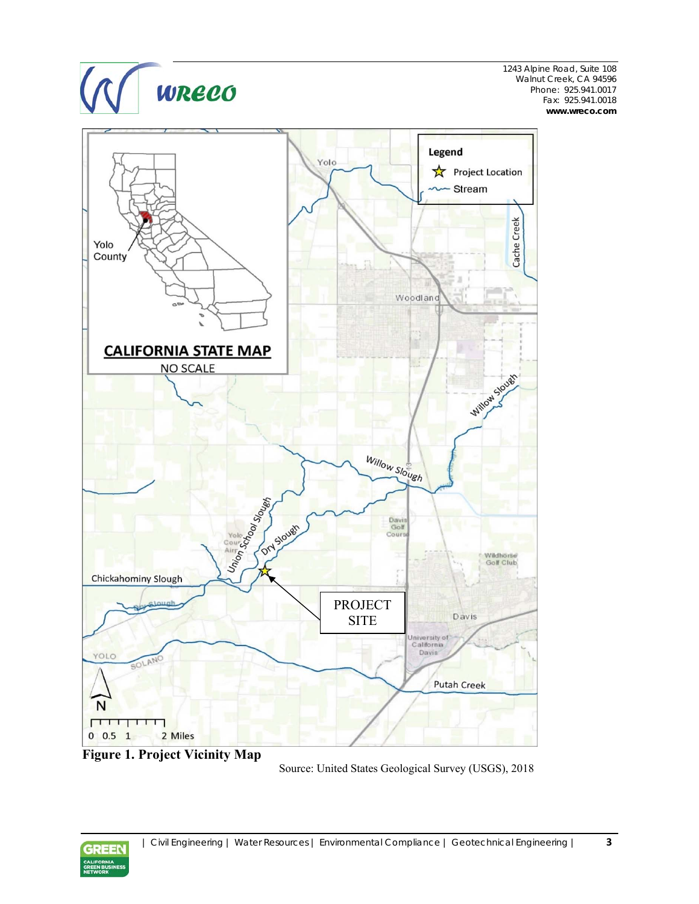



Source: United States Geological Survey (USGS), 2018

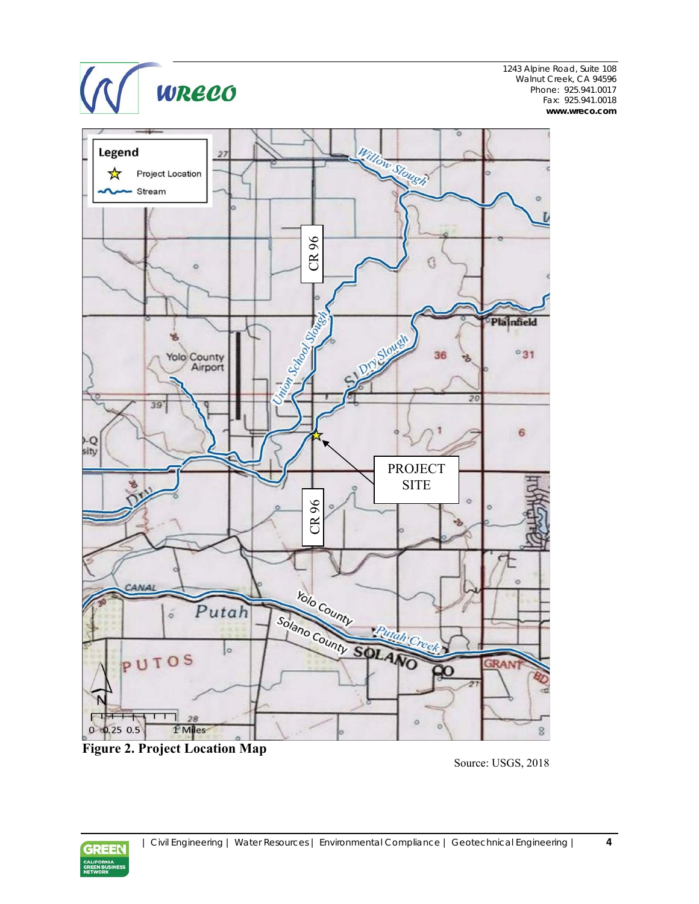



**Figure 2. Project Location Map** 

Source: USGS, 2018

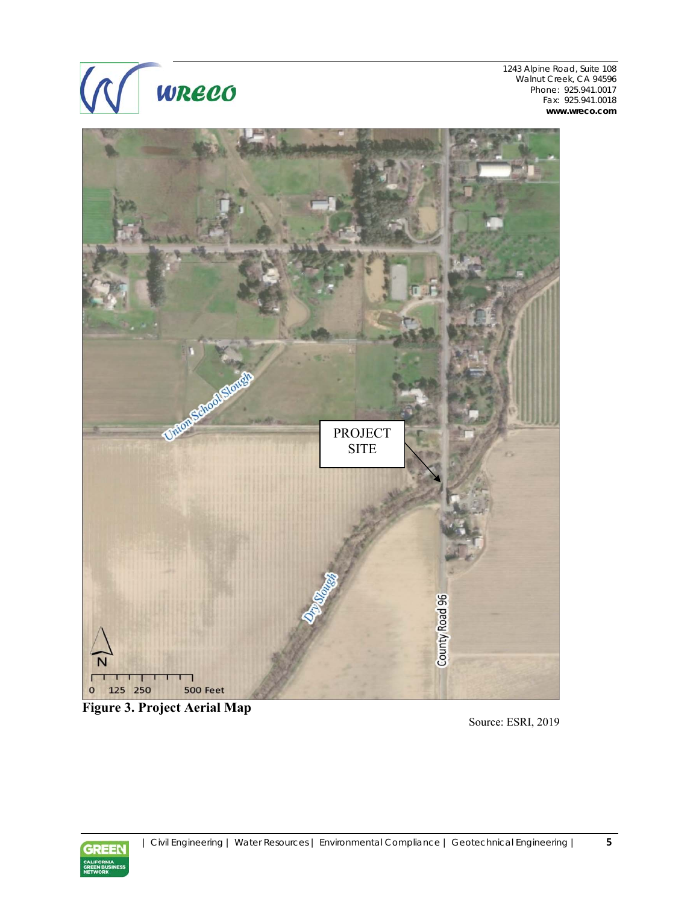



**Figure 3. Project Aerial Map** 

Source: ESRI, 2019

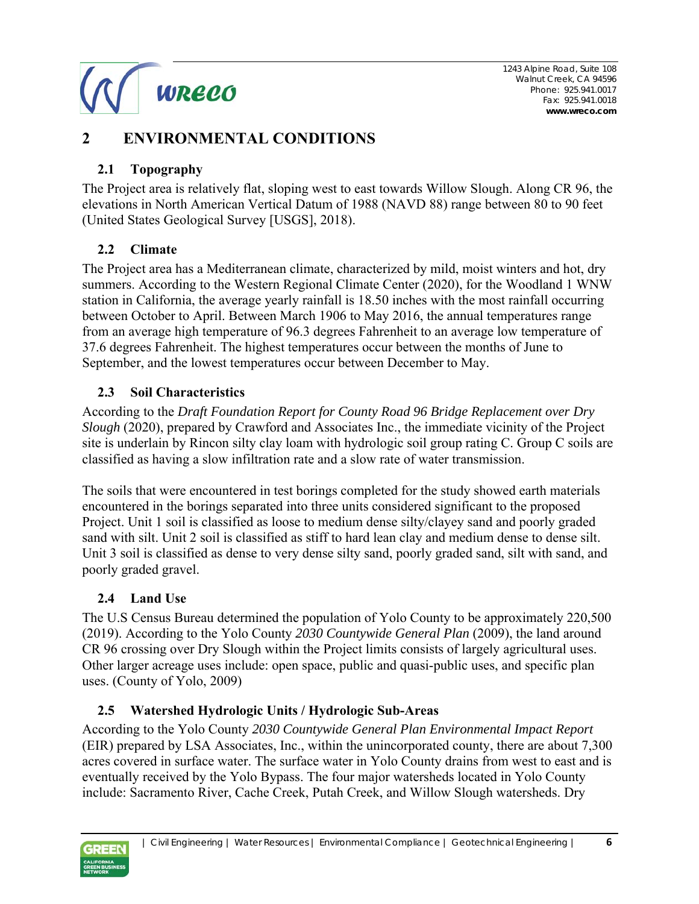

# **2 ENVIRONMENTAL CONDITIONS**

#### **2.1 Topography**

The Project area is relatively flat, sloping west to east towards Willow Slough. Along CR 96, the elevations in North American Vertical Datum of 1988 (NAVD 88) range between 80 to 90 feet (United States Geological Survey [USGS], 2018).

#### **2.2 Climate**

The Project area has a Mediterranean climate, characterized by mild, moist winters and hot, dry summers. According to the Western Regional Climate Center (2020), for the Woodland 1 WNW station in California, the average yearly rainfall is 18.50 inches with the most rainfall occurring between October to April. Between March 1906 to May 2016, the annual temperatures range from an average high temperature of 96.3 degrees Fahrenheit to an average low temperature of 37.6 degrees Fahrenheit. The highest temperatures occur between the months of June to September, and the lowest temperatures occur between December to May.

## **2.3 Soil Characteristics**

According to the *Draft Foundation Report for County Road 96 Bridge Replacement over Dry Slough* (2020), prepared by Crawford and Associates Inc., the immediate vicinity of the Project site is underlain by Rincon silty clay loam with hydrologic soil group rating C. Group C soils are classified as having a slow infiltration rate and a slow rate of water transmission.

The soils that were encountered in test borings completed for the study showed earth materials encountered in the borings separated into three units considered significant to the proposed Project. Unit 1 soil is classified as loose to medium dense silty/clayey sand and poorly graded sand with silt. Unit 2 soil is classified as stiff to hard lean clay and medium dense to dense silt. Unit 3 soil is classified as dense to very dense silty sand, poorly graded sand, silt with sand, and poorly graded gravel.

## **2.4 Land Use**

The U.S Census Bureau determined the population of Yolo County to be approximately 220,500 (2019). According to the Yolo County *2030 Countywide General Plan* (2009), the land around CR 96 crossing over Dry Slough within the Project limits consists of largely agricultural uses. Other larger acreage uses include: open space, public and quasi-public uses, and specific plan uses. (County of Yolo, 2009)

## **2.5 Watershed Hydrologic Units / Hydrologic Sub-Areas**

According to the Yolo County *2030 Countywide General Plan Environmental Impact Report* (EIR) prepared by LSA Associates, Inc., within the unincorporated county, there are about 7,300 acres covered in surface water. The surface water in Yolo County drains from west to east and is eventually received by the Yolo Bypass. The four major watersheds located in Yolo County include: Sacramento River, Cache Creek, Putah Creek, and Willow Slough watersheds. Dry

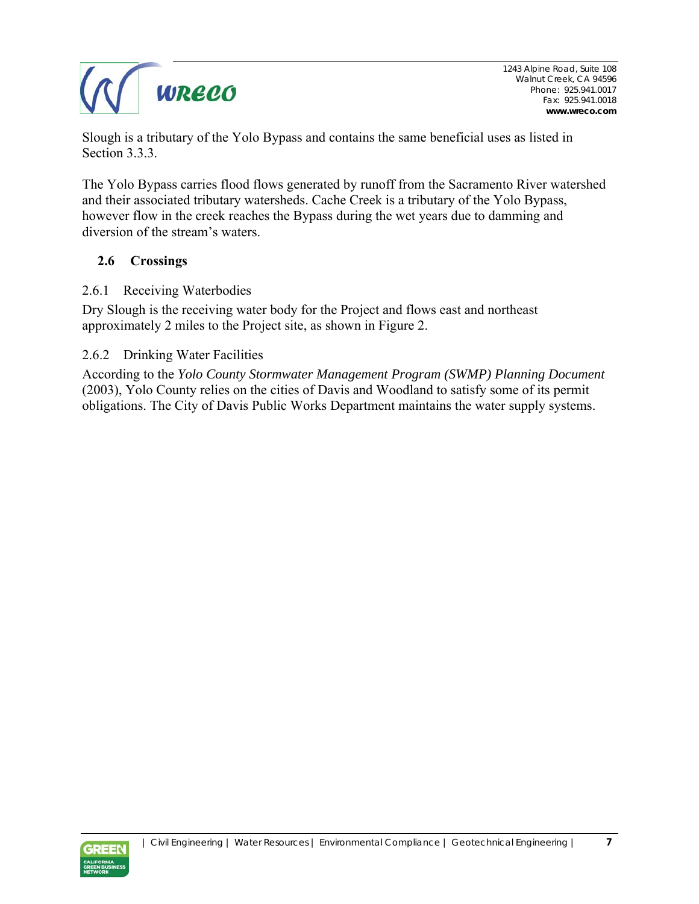

Slough is a tributary of the Yolo Bypass and contains the same beneficial uses as listed in Section 3.3.3.

The Yolo Bypass carries flood flows generated by runoff from the Sacramento River watershed and their associated tributary watersheds. Cache Creek is a tributary of the Yolo Bypass, however flow in the creek reaches the Bypass during the wet years due to damming and diversion of the stream's waters.

#### **2.6 Crossings**

2.6.1 Receiving Waterbodies

Dry Slough is the receiving water body for the Project and flows east and northeast approximately 2 miles to the Project site, as shown in Figure 2.

2.6.2 Drinking Water Facilities

According to the *Yolo County Stormwater Management Program (SWMP) Planning Document* (2003), Yolo County relies on the cities of Davis and Woodland to satisfy some of its permit obligations. The City of Davis Public Works Department maintains the water supply systems.

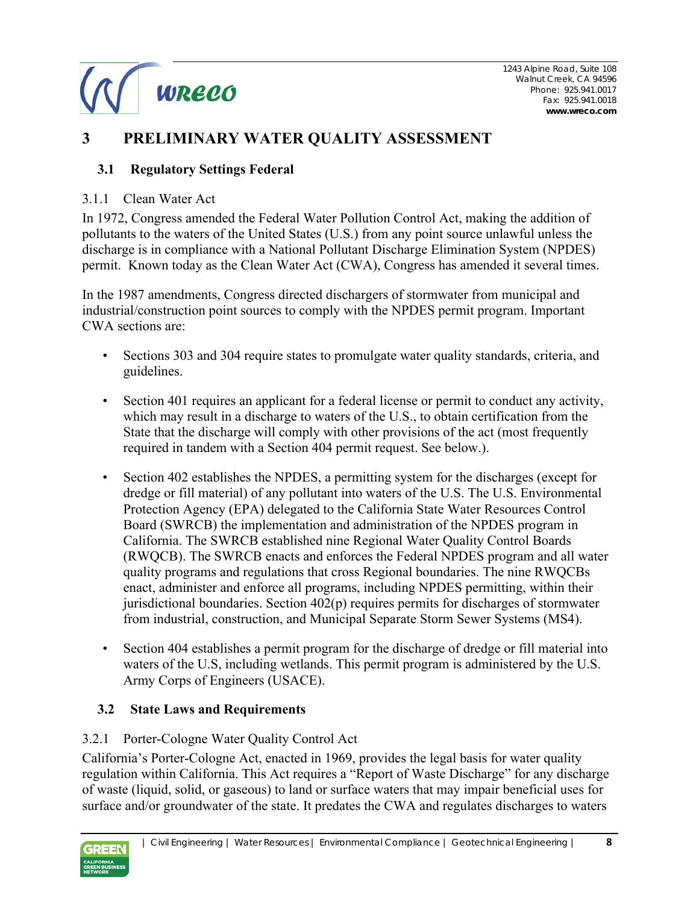

# **3 PRELIMINARY WATER QUALITY ASSESSMENT**

#### **3.1 Regulatory Settings Federal**

#### 3.1.1 Clean Water Act

In 1972, Congress amended the Federal Water Pollution Control Act, making the addition of pollutants to the waters of the United States (U.S.) from any point source unlawful unless the discharge is in compliance with a National Pollutant Discharge Elimination System (NPDES) permit. Known today as the Clean Water Act (CWA), Congress has amended it several times.

In the 1987 amendments, Congress directed dischargers of stormwater from municipal and industrial/construction point sources to comply with the NPDES permit program. Important CWA sections are:

- Sections 303 and 304 require states to promulgate water quality standards, criteria, and guidelines.
- Section 401 requires an applicant for a federal license or permit to conduct any activity, which may result in a discharge to waters of the U.S., to obtain certification from the State that the discharge will comply with other provisions of the act (most frequently required in tandem with a Section 404 permit request. See below.).
- Section 402 establishes the NPDES, a permitting system for the discharges (except for dredge or fill material) of any pollutant into waters of the U.S. The U.S. Environmental Protection Agency (EPA) delegated to the California State Water Resources Control Board (SWRCB) the implementation and administration of the NPDES program in California. The SWRCB established nine Regional Water Quality Control Boards (RWQCB). The SWRCB enacts and enforces the Federal NPDES program and all water quality programs and regulations that cross Regional boundaries. The nine RWQCBs enact, administer and enforce all programs, including NPDES permitting, within their jurisdictional boundaries. Section 402(p) requires permits for discharges of stormwater from industrial, construction, and Municipal Separate Storm Sewer Systems (MS4).
- Section 404 establishes a permit program for the discharge of dredge or fill material into waters of the U.S, including wetlands. This permit program is administered by the U.S. Army Corps of Engineers (USACE).

#### **3.2 State Laws and Requirements**

#### 3.2.1 Porter-Cologne Water Quality Control Act

California's Porter-Cologne Act, enacted in 1969, provides the legal basis for water quality regulation within California. This Act requires a "Report of Waste Discharge" for any discharge of waste (liquid, solid, or gaseous) to land or surface waters that may impair beneficial uses for surface and/or groundwater of the state. It predates the CWA and regulates discharges to waters

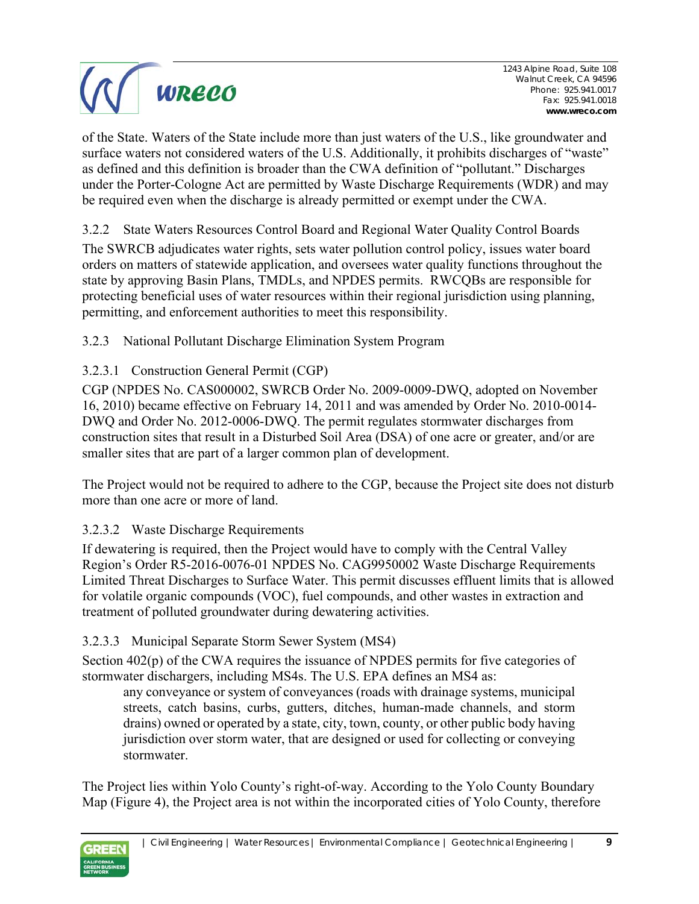

of the State. Waters of the State include more than just waters of the U.S., like groundwater and surface waters not considered waters of the U.S. Additionally, it prohibits discharges of "waste" as defined and this definition is broader than the CWA definition of "pollutant." Discharges under the Porter-Cologne Act are permitted by Waste Discharge Requirements (WDR) and may be required even when the discharge is already permitted or exempt under the CWA.

3.2.2 State Waters Resources Control Board and Regional Water Quality Control Boards

The SWRCB adjudicates water rights, sets water pollution control policy, issues water board orders on matters of statewide application, and oversees water quality functions throughout the state by approving Basin Plans, TMDLs, and NPDES permits. RWCQBs are responsible for protecting beneficial uses of water resources within their regional jurisdiction using planning, permitting, and enforcement authorities to meet this responsibility.

3.2.3 National Pollutant Discharge Elimination System Program

#### 3.2.3.1 Construction General Permit (CGP)

CGP (NPDES No. CAS000002, SWRCB Order No. 2009-0009-DWQ, adopted on November 16, 2010) became effective on February 14, 2011 and was amended by Order No. 2010-0014- DWQ and Order No. 2012-0006-DWQ. The permit regulates stormwater discharges from construction sites that result in a Disturbed Soil Area (DSA) of one acre or greater, and/or are smaller sites that are part of a larger common plan of development.

The Project would not be required to adhere to the CGP, because the Project site does not disturb more than one acre or more of land.

#### 3.2.3.2 Waste Discharge Requirements

If dewatering is required, then the Project would have to comply with the Central Valley Region's Order R5-2016-0076-01 NPDES No. CAG9950002 Waste Discharge Requirements Limited Threat Discharges to Surface Water. This permit discusses effluent limits that is allowed for volatile organic compounds (VOC), fuel compounds, and other wastes in extraction and treatment of polluted groundwater during dewatering activities.

#### 3.2.3.3 Municipal Separate Storm Sewer System (MS4)

Section 402(p) of the CWA requires the issuance of NPDES permits for five categories of stormwater dischargers, including MS4s. The U.S. EPA defines an MS4 as:

any conveyance or system of conveyances (roads with drainage systems, municipal streets, catch basins, curbs, gutters, ditches, human-made channels, and storm drains) owned or operated by a state, city, town, county, or other public body having jurisdiction over storm water, that are designed or used for collecting or conveying stormwater.

The Project lies within Yolo County's right-of-way. According to the Yolo County Boundary Map (Figure 4), the Project area is not within the incorporated cities of Yolo County, therefore

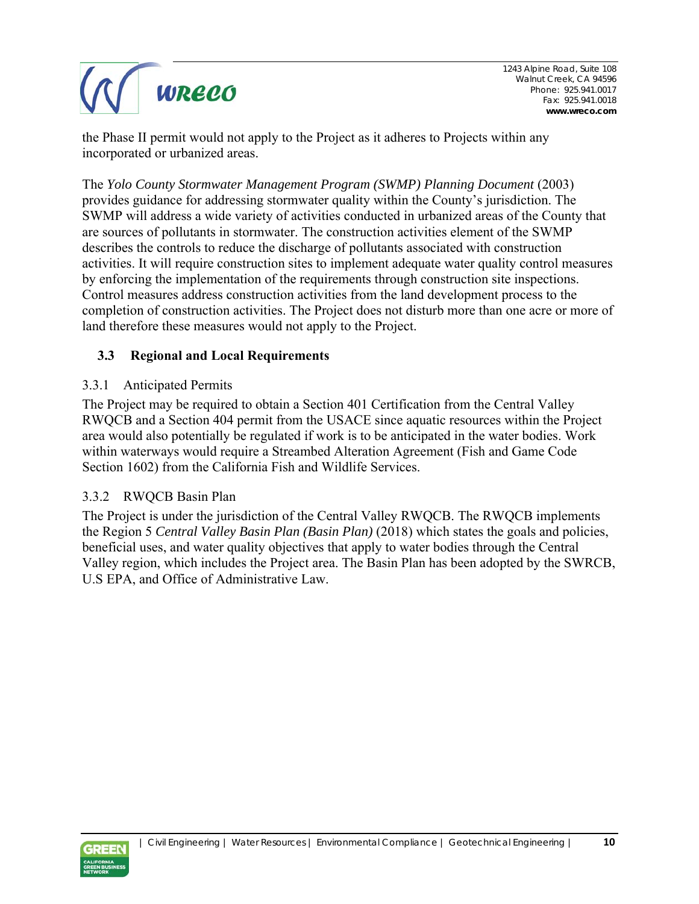

the Phase II permit would not apply to the Project as it adheres to Projects within any incorporated or urbanized areas.

The *Yolo County Stormwater Management Program (SWMP) Planning Document* (2003) provides guidance for addressing stormwater quality within the County's jurisdiction. The SWMP will address a wide variety of activities conducted in urbanized areas of the County that are sources of pollutants in stormwater. The construction activities element of the SWMP describes the controls to reduce the discharge of pollutants associated with construction activities. It will require construction sites to implement adequate water quality control measures by enforcing the implementation of the requirements through construction site inspections. Control measures address construction activities from the land development process to the completion of construction activities. The Project does not disturb more than one acre or more of land therefore these measures would not apply to the Project.

#### **3.3 Regional and Local Requirements**

#### 3.3.1 Anticipated Permits

The Project may be required to obtain a Section 401 Certification from the Central Valley RWQCB and a Section 404 permit from the USACE since aquatic resources within the Project area would also potentially be regulated if work is to be anticipated in the water bodies. Work within waterways would require a Streambed Alteration Agreement (Fish and Game Code Section 1602) from the California Fish and Wildlife Services.

#### 3.3.2 RWQCB Basin Plan

The Project is under the jurisdiction of the Central Valley RWQCB. The RWQCB implements the Region 5 *Central Valley Basin Plan (Basin Plan)* (2018) which states the goals and policies, beneficial uses, and water quality objectives that apply to water bodies through the Central Valley region, which includes the Project area. The Basin Plan has been adopted by the SWRCB, U.S EPA, and Office of Administrative Law.

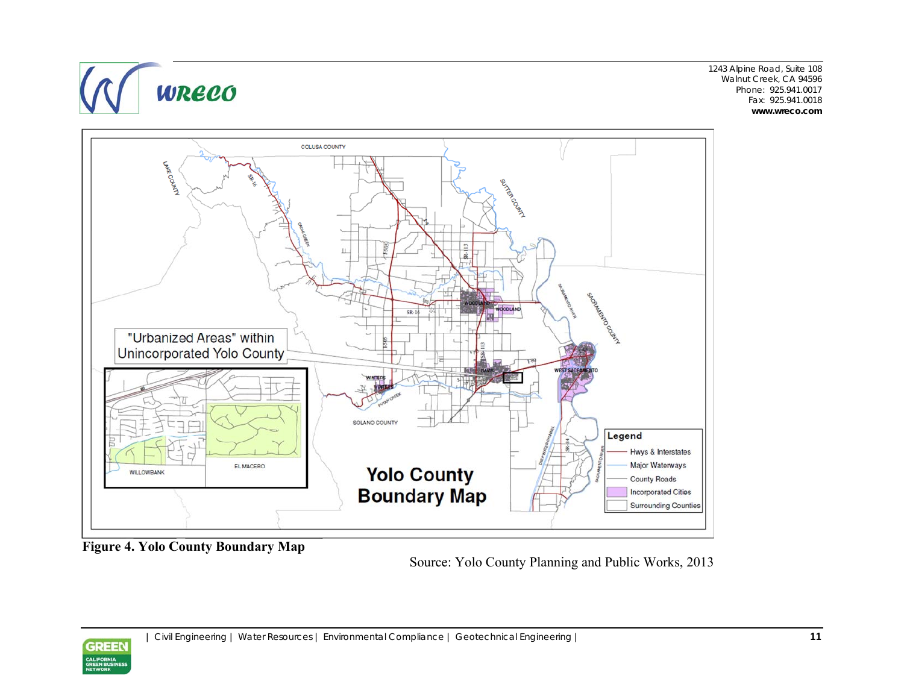

1243 Alpine Road, Suite 108 Walnut Creek, CA 94596 Phone: 925.941.0017 Fax: 925.941.0018 **www.wreco.com** 

**Figure 4. Yolo County Boundary Map** 

Source: Yolo County Planning and Public Works, 2013

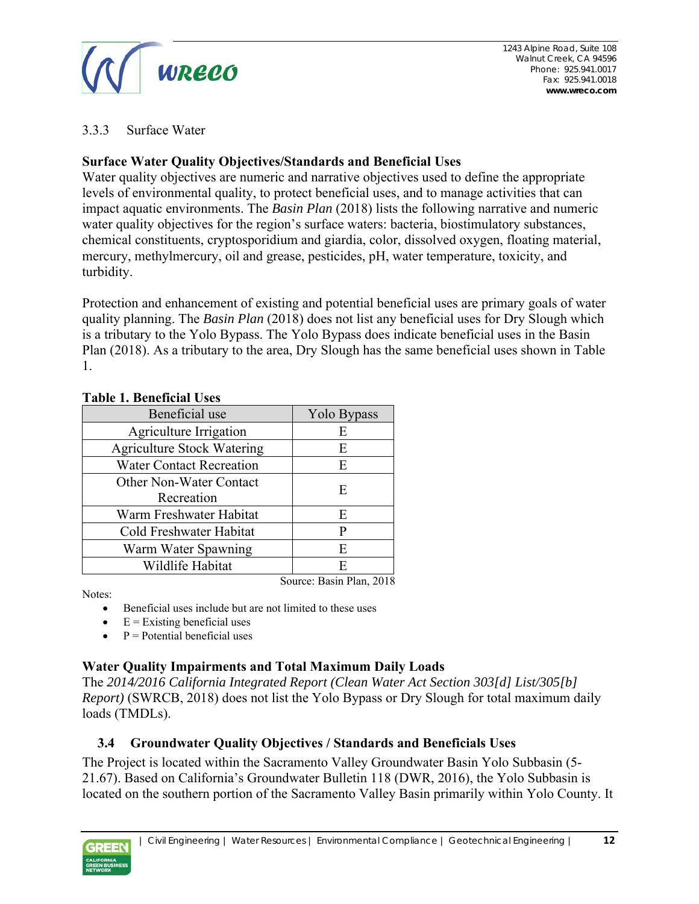

#### 3.3.3 Surface Water

#### **Surface Water Quality Objectives/Standards and Beneficial Uses**

Water quality objectives are numeric and narrative objectives used to define the appropriate levels of environmental quality, to protect beneficial uses, and to manage activities that can impact aquatic environments. The *Basin Plan* (2018) lists the following narrative and numeric water quality objectives for the region's surface waters: bacteria, biostimulatory substances, chemical constituents, cryptosporidium and giardia, color, dissolved oxygen, floating material, mercury, methylmercury, oil and grease, pesticides, pH, water temperature, toxicity, and turbidity.

Protection and enhancement of existing and potential beneficial uses are primary goals of water quality planning. The *Basin Plan* (2018) does not list any beneficial uses for Dry Slough which is a tributary to the Yolo Bypass. The Yolo Bypass does indicate beneficial uses in the Basin Plan (2018). As a tributary to the area, Dry Slough has the same beneficial uses shown in Table 1.

| Beneficial use                    | Yolo Bypass              |  |
|-----------------------------------|--------------------------|--|
| Agriculture Irrigation            | E                        |  |
| <b>Agriculture Stock Watering</b> | E                        |  |
| <b>Water Contact Recreation</b>   | E                        |  |
| <b>Other Non-Water Contact</b>    | E                        |  |
| Recreation                        |                          |  |
| Warm Freshwater Habitat           | E                        |  |
| Cold Freshwater Habitat           | P                        |  |
| Warm Water Spawning               | E                        |  |
| Wildlife Habitat                  | E                        |  |
|                                   | Source: Basin Plan, 2018 |  |

#### **Table 1. Beneficial Uses**

Notes:

- Beneficial uses include but are not limited to these uses
- $\bullet$  E = Existing beneficial uses
- $P =$  Potential beneficial uses

#### **Water Quality Impairments and Total Maximum Daily Loads**

The *2014/2016 California Integrated Report (Clean Water Act Section 303[d] List/305[b] Report)* (SWRCB, 2018) does not list the Yolo Bypass or Dry Slough for total maximum daily loads (TMDLs).

#### **3.4 Groundwater Quality Objectives / Standards and Beneficials Uses**

The Project is located within the Sacramento Valley Groundwater Basin Yolo Subbasin (5- 21.67). Based on California's Groundwater Bulletin 118 (DWR, 2016), the Yolo Subbasin is located on the southern portion of the Sacramento Valley Basin primarily within Yolo County. It

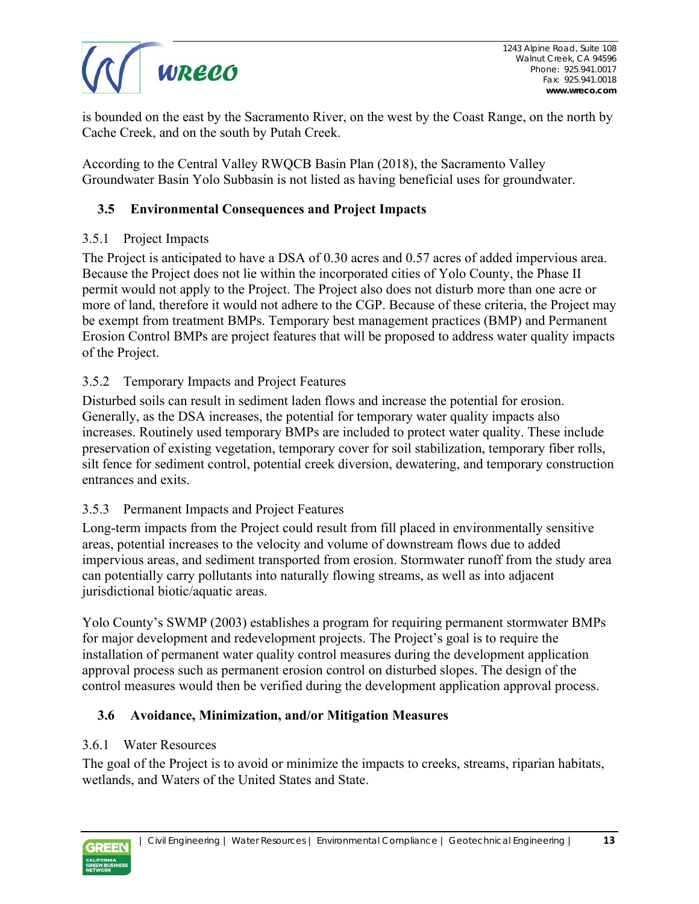

is bounded on the east by the Sacramento River, on the west by the Coast Range, on the north by Cache Creek, and on the south by Putah Creek.

According to the Central Valley RWQCB Basin Plan (2018), the Sacramento Valley Groundwater Basin Yolo Subbasin is not listed as having beneficial uses for groundwater.

#### **3.5 Environmental Consequences and Project Impacts**

#### 3.5.1 Project Impacts

The Project is anticipated to have a DSA of 0.30 acres and 0.57 acres of added impervious area. Because the Project does not lie within the incorporated cities of Yolo County, the Phase II permit would not apply to the Project. The Project also does not disturb more than one acre or more of land, therefore it would not adhere to the CGP. Because of these criteria, the Project may be exempt from treatment BMPs. Temporary best management practices (BMP) and Permanent Erosion Control BMPs are project features that will be proposed to address water quality impacts of the Project.

#### 3.5.2 Temporary Impacts and Project Features

Disturbed soils can result in sediment laden flows and increase the potential for erosion. Generally, as the DSA increases, the potential for temporary water quality impacts also increases. Routinely used temporary BMPs are included to protect water quality. These include preservation of existing vegetation, temporary cover for soil stabilization, temporary fiber rolls, silt fence for sediment control, potential creek diversion, dewatering, and temporary construction entrances and exits.

#### 3.5.3 Permanent Impacts and Project Features

Long-term impacts from the Project could result from fill placed in environmentally sensitive areas, potential increases to the velocity and volume of downstream flows due to added impervious areas, and sediment transported from erosion. Stormwater runoff from the study area can potentially carry pollutants into naturally flowing streams, as well as into adjacent jurisdictional biotic/aquatic areas.

Yolo County's SWMP (2003) establishes a program for requiring permanent stormwater BMPs for major development and redevelopment projects. The Project's goal is to require the installation of permanent water quality control measures during the development application approval process such as permanent erosion control on disturbed slopes. The design of the control measures would then be verified during the development application approval process.

#### **3.6 Avoidance, Minimization, and/or Mitigation Measures**

#### 3.6.1 Water Resources

The goal of the Project is to avoid or minimize the impacts to creeks, streams, riparian habitats, wetlands, and Waters of the United States and State.

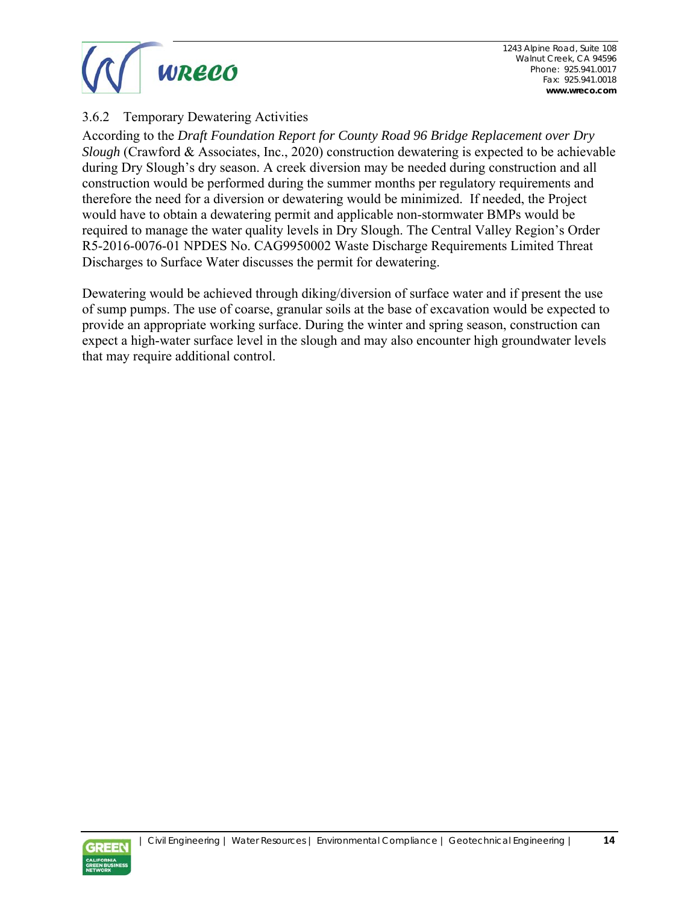

#### 3.6.2 Temporary Dewatering Activities

According to the *Draft Foundation Report for County Road 96 Bridge Replacement over Dry Slough* (Crawford & Associates, Inc., 2020) construction dewatering is expected to be achievable during Dry Slough's dry season. A creek diversion may be needed during construction and all construction would be performed during the summer months per regulatory requirements and therefore the need for a diversion or dewatering would be minimized. If needed, the Project would have to obtain a dewatering permit and applicable non-stormwater BMPs would be required to manage the water quality levels in Dry Slough. The Central Valley Region's Order R5-2016-0076-01 NPDES No. CAG9950002 Waste Discharge Requirements Limited Threat Discharges to Surface Water discusses the permit for dewatering.

Dewatering would be achieved through diking/diversion of surface water and if present the use of sump pumps. The use of coarse, granular soils at the base of excavation would be expected to provide an appropriate working surface. During the winter and spring season, construction can expect a high-water surface level in the slough and may also encounter high groundwater levels that may require additional control.